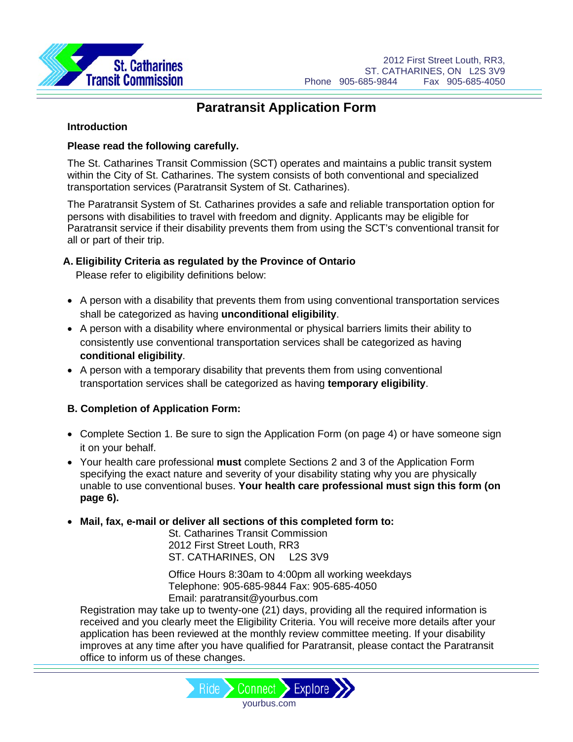

### **Introduction**

# **Please read the following carefully.**

The St. Catharines Transit Commission (SCT) operates and maintains a public transit system within the City of St. Catharines. The system consists of both conventional and specialized transportation services (Paratransit System of St. Catharines).

The Paratransit System of St. Catharines provides a safe and reliable transportation option for persons with disabilities to travel with freedom and dignity. Applicants may be eligible for Paratransit service if their disability prevents them from using the SCT's conventional transit for all or part of their trip.

# **A. Eligibility Criteria as regulated by the Province of Ontario**

Please refer to eligibility definitions below:

- A person with a disability that prevents them from using conventional transportation services shall be categorized as having **unconditional eligibility**.
- A person with a disability where environmental or physical barriers limits their ability to consistently use conventional transportation services shall be categorized as having **conditional eligibility**.
- A person with a temporary disability that prevents them from using conventional transportation services shall be categorized as having **temporary eligibility**.

# **B. Completion of Application Form:**

- Complete Section 1. Be sure to sign the Application Form (on page 4) or have someone sign it on your behalf.
- Your health care professional **must** complete Sections 2 and 3 of the Application Form specifying the exact nature and severity of your disability stating why you are physically unable to use conventional buses. **Your health care professional must sign this form (on page 6).**
- **Mail, fax, e-mail or deliver all sections of this completed form to:**

St. Catharines Transit Commission 2012 First Street Louth, RR3 ST. CATHARINES, ON L2S 3V9

Office Hours 8:30am to 4:00pm all working weekdays Telephone: 905-685-9844 Fax: 905-685-4050 Email: paratransit@yourbus.com

Registration may take up to twenty-one (21) days, providing all the required information is received and you clearly meet the Eligibility Criteria. You will receive more details after your application has been reviewed at the monthly review committee meeting. If your disability improves at any time after you have qualified for Paratransit, please contact the Paratransit office to inform us of these changes.

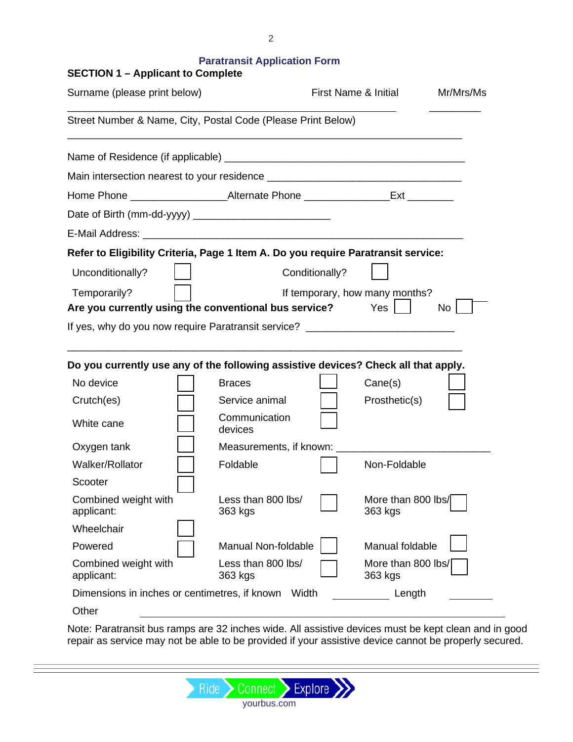| <b>SECTION 1 - Applicant to Complete</b>                                                                                                                               |                               |                |                                |           |
|------------------------------------------------------------------------------------------------------------------------------------------------------------------------|-------------------------------|----------------|--------------------------------|-----------|
| Surname (please print below)                                                                                                                                           |                               |                | First Name & Initial           | Mr/Mrs/Ms |
| Street Number & Name, City, Postal Code (Please Print Below)                                                                                                           |                               |                |                                |           |
|                                                                                                                                                                        |                               |                |                                |           |
|                                                                                                                                                                        |                               |                |                                |           |
| Home Phone ______________________Alternate Phone _________________Ext __________                                                                                       |                               |                |                                |           |
|                                                                                                                                                                        |                               |                |                                |           |
|                                                                                                                                                                        |                               |                |                                |           |
| Refer to Eligibility Criteria, Page 1 Item A. Do you require Paratransit service:                                                                                      |                               |                |                                |           |
| Unconditionally?                                                                                                                                                       |                               | Conditionally? |                                |           |
| Temporarily?                                                                                                                                                           |                               |                | If temporary, how many months? |           |
| Are you currently using the conventional bus service?                                                                                                                  |                               |                | Yes                            | No        |
| If yes, why do you now require Paratransit service? ____________________________<br>Do you currently use any of the following assistive devices? Check all that apply. |                               |                |                                |           |
| No device                                                                                                                                                              | <b>Braces</b>                 |                | Cane(s)                        |           |
| Crutch(es)                                                                                                                                                             | Service animal                |                | Prosthetic(s)                  |           |
| White cane                                                                                                                                                             | Communication<br>devices      |                |                                |           |
| Oxygen tank                                                                                                                                                            | Measurements, if known:       |                |                                |           |
| Walker/Rollator                                                                                                                                                        | Foldable                      |                | Non-Foldable                   |           |
| Scooter                                                                                                                                                                |                               |                |                                |           |
| Combined weight with<br>applicant:                                                                                                                                     | Less than 800 lbs/<br>363 kgs |                | More than 800 lbs/<br>363 kgs  |           |
| Wheelchair                                                                                                                                                             |                               |                |                                |           |
| Powered                                                                                                                                                                | Manual Non-foldable           |                | Manual foldable                |           |
| Combined weight with<br>applicant:                                                                                                                                     | Less than 800 lbs/<br>363 kgs |                | More than 800 lbs/<br>363 kgs  |           |
| Dimensions in inches or centimetres, if known                                                                                                                          | Width                         |                | Length                         |           |
| Other                                                                                                                                                                  |                               |                |                                |           |

Note: Paratransit bus ramps are 32 inches wide. All assistive devices must be kept clean and in good repair as service may not be able to be provided if your assistive device cannot be properly secured.

Ride > Connect > Explore >> yourbus.com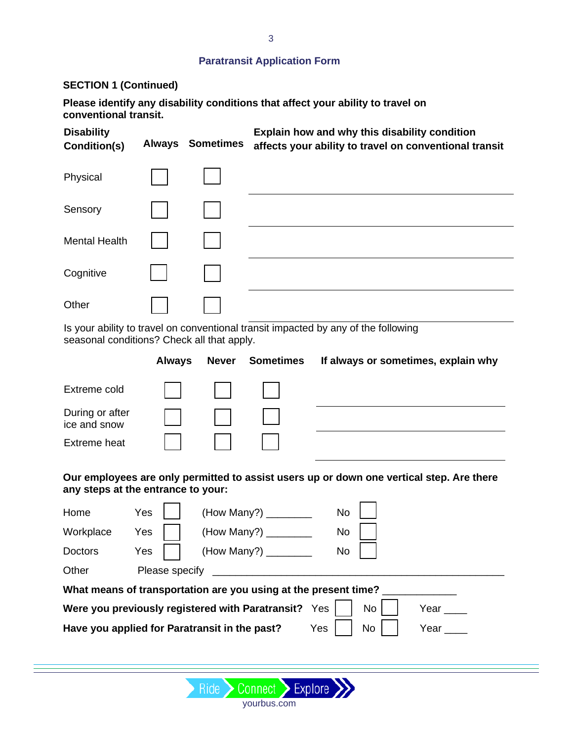## **SECTION 1 (Continued)**

**Please identify any disability conditions that affect your ability to travel on conventional transit.**

| <b>Disability</b><br>Condition(s) | <b>Always</b> | <b>Sometimes</b> | Explain how and why this disability condition<br>affects your ability to travel on conventional transit |
|-----------------------------------|---------------|------------------|---------------------------------------------------------------------------------------------------------|
| Physical                          |               |                  |                                                                                                         |
| Sensory                           |               |                  |                                                                                                         |
| <b>Mental Health</b>              |               |                  |                                                                                                         |
| Cognitive                         |               |                  |                                                                                                         |
| Other                             |               |                  |                                                                                                         |
|                                   |               |                  | le vous objitu to troyol en conventional transit imported by any of the following                       |

Is your ability to travel on conventional transit impacted by any of the following seasonal conditions? Check all that apply.

|                                 | <b>Always</b> | <b>Never</b>                           | Sometimes | If always or sometimes, explain why |
|---------------------------------|---------------|----------------------------------------|-----------|-------------------------------------|
| Extreme cold                    |               | $\mathbf{1}$ $\mathbf{1}$ $\mathbf{1}$ |           |                                     |
| During or after<br>ice and snow |               |                                        |           |                                     |
| <b>Extreme heat</b>             |               |                                        |           |                                     |

**Our employees are only permitted to assist users up or down one vertical step. Are there any steps at the entrance to your:**

| Home           | Yes            | (How Many?)                                                     | No  |           |      |
|----------------|----------------|-----------------------------------------------------------------|-----|-----------|------|
| Workplace      | Yes            | (How Many?)                                                     | No  |           |      |
| <b>Doctors</b> | Yes            | (How Many?) _________                                           | No  |           |      |
| Other          | Please specify |                                                                 |     |           |      |
|                |                | What means of transportation are you using at the present time? |     |           |      |
|                |                | Were you previously registered with Paratransit? Yes            |     | No        | Year |
|                |                | Have you applied for Paratransit in the past?                   | Yes | <b>No</b> | Year |
|                |                |                                                                 |     |           |      |

yourbus.com

Ride > Connect > Explore >>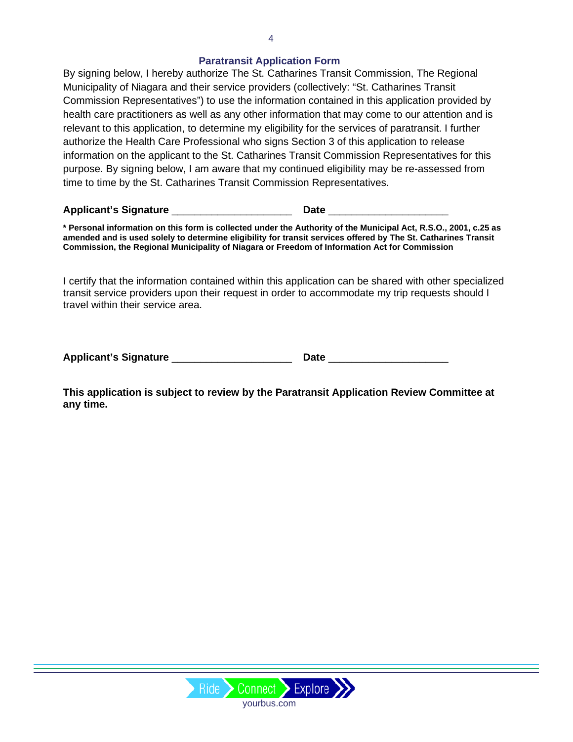By signing below, I hereby authorize The St. Catharines Transit Commission, The Regional Municipality of Niagara and their service providers (collectively: "St. Catharines Transit Commission Representatives") to use the information contained in this application provided by health care practitioners as well as any other information that may come to our attention and is relevant to this application, to determine my eligibility for the services of paratransit. I further authorize the Health Care Professional who signs Section 3 of this application to release information on the applicant to the St. Catharines Transit Commission Representatives for this purpose. By signing below, I am aware that my continued eligibility may be re-assessed from time to time by the St. Catharines Transit Commission Representatives.

**Applicant's Signature** \_\_\_\_\_\_\_\_\_\_\_\_\_\_\_\_\_\_\_\_\_ **Date** \_\_\_\_\_\_\_\_\_\_\_\_\_\_\_\_\_\_\_\_\_

**\* Personal information on this form is collected under the Authority of the Municipal Act, R.S.O., 2001, c.25 as amended and is used solely to determine eligibility for transit services offered by The St. Catharines Transit Commission, the Regional Municipality of Niagara or Freedom of Information Act for Commission**

I certify that the information contained within this application can be shared with other specialized transit service providers upon their request in order to accommodate my trip requests should I travel within their service area.

| <b>Applicant's Signature</b> |  |
|------------------------------|--|
|------------------------------|--|

**This application is subject to review by the Paratransit Application Review Committee at any time.** 

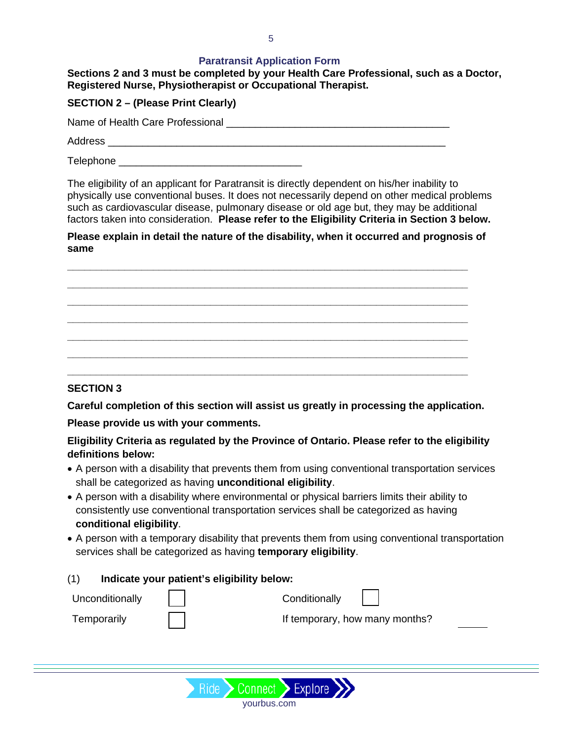#### **Sections 2 and 3 must be completed by your Health Care Professional, such as a Doctor, Registered Nurse, Physiotherapist or Occupational Therapist.**

## **SECTION 2 – (Please Print Clearly)**

Name of Health Care Professional \_\_\_\_\_\_\_\_\_\_\_\_\_\_\_\_\_\_\_\_\_\_\_\_\_\_\_\_\_\_\_\_\_\_\_\_\_\_\_

Address **and a set of the set of the set of the set of the set of the set of the set of the set of the set of the set of the set of the set of the set of the set of the set of the set of the set of the set of the set of th** 

 $\exists$  Telephone  $\Box$ 

The eligibility of an applicant for Paratransit is directly dependent on his/her inability to physically use conventional buses. It does not necessarily depend on other medical problems such as cardiovascular disease, pulmonary disease or old age but, they may be additional factors taken into consideration. **Please refer to the Eligibility Criteria in Section 3 below.**

**Please explain in detail the nature of the disability, when it occurred and prognosis of same** 

**\_\_\_\_\_\_\_\_\_\_\_\_\_\_\_\_\_\_\_\_\_\_\_\_\_\_\_\_\_\_\_\_\_\_\_\_\_\_\_\_\_\_\_\_\_\_\_\_\_\_\_\_\_\_\_\_\_\_\_\_\_\_\_\_\_\_\_\_\_\_ \_\_\_\_\_\_\_\_\_\_\_\_\_\_\_\_\_\_\_\_\_\_\_\_\_\_\_\_\_\_\_\_\_\_\_\_\_\_\_\_\_\_\_\_\_\_\_\_\_\_\_\_\_\_\_\_\_\_\_\_\_\_\_\_\_\_\_\_\_\_ \_\_\_\_\_\_\_\_\_\_\_\_\_\_\_\_\_\_\_\_\_\_\_\_\_\_\_\_\_\_\_\_\_\_\_\_\_\_\_\_\_\_\_\_\_\_\_\_\_\_\_\_\_\_\_\_\_\_\_\_\_\_\_\_\_\_\_\_\_\_ \_\_\_\_\_\_\_\_\_\_\_\_\_\_\_\_\_\_\_\_\_\_\_\_\_\_\_\_\_\_\_\_\_\_\_\_\_\_\_\_\_\_\_\_\_\_\_\_\_\_\_\_\_\_\_\_\_\_\_\_\_\_\_\_\_\_\_\_\_\_ \_\_\_\_\_\_\_\_\_\_\_\_\_\_\_\_\_\_\_\_\_\_\_\_\_\_\_\_\_\_\_\_\_\_\_\_\_\_\_\_\_\_\_\_\_\_\_\_\_\_\_\_\_\_\_\_\_\_\_\_\_\_\_\_\_\_\_\_\_\_ \_\_\_\_\_\_\_\_\_\_\_\_\_\_\_\_\_\_\_\_\_\_\_\_\_\_\_\_\_\_\_\_\_\_\_\_\_\_\_\_\_\_\_\_\_\_\_\_\_\_\_\_\_\_\_\_\_\_\_\_\_\_\_\_\_\_\_\_\_\_ \_\_\_\_\_\_\_\_\_\_\_\_\_\_\_\_\_\_\_\_\_\_\_\_\_\_\_\_\_\_\_\_\_\_\_\_\_\_\_\_\_\_\_\_\_\_\_\_\_\_\_\_\_\_\_\_\_\_\_\_\_\_\_\_\_\_\_\_\_\_**

### **SECTION 3**

**Careful completion of this section will assist us greatly in processing the application.** 

**Please provide us with your comments.**

**Eligibility Criteria as regulated by the Province of Ontario. Please refer to the eligibility definitions below:**

- A person with a disability that prevents them from using conventional transportation services shall be categorized as having **unconditional eligibility**.
- A person with a disability where environmental or physical barriers limits their ability to consistently use conventional transportation services shall be categorized as having **conditional eligibility**.
- A person with a temporary disability that prevents them from using conventional transportation services shall be categorized as having **temporary eligibility**.

(1) **Indicate your patient's eligibility below:** Unconditionally | | | Conditionally Temporarily **If temporary, how many months?**